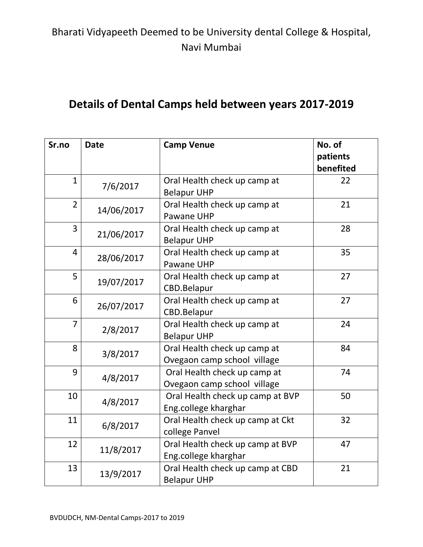#### **Details of Dental Camps held between years 2017-2019**

| Sr.no          | <b>Date</b> | <b>Camp Venue</b>                | No. of<br>patients |
|----------------|-------------|----------------------------------|--------------------|
|                |             |                                  | benefited          |
| $\mathbf{1}$   | 7/6/2017    | Oral Health check up camp at     | 22                 |
|                |             | <b>Belapur UHP</b>               |                    |
| $\overline{2}$ | 14/06/2017  | Oral Health check up camp at     | 21                 |
|                |             | Pawane UHP                       |                    |
| 3              | 21/06/2017  | Oral Health check up camp at     | 28                 |
|                |             | <b>Belapur UHP</b>               |                    |
| 4              | 28/06/2017  | Oral Health check up camp at     | 35                 |
|                |             | Pawane UHP                       |                    |
| 5              | 19/07/2017  | Oral Health check up camp at     | 27                 |
|                |             | CBD.Belapur                      |                    |
| 6              | 26/07/2017  | Oral Health check up camp at     | 27                 |
|                |             | CBD.Belapur                      |                    |
| $\overline{7}$ | 2/8/2017    | Oral Health check up camp at     | 24                 |
|                |             | <b>Belapur UHP</b>               |                    |
| 8              | 3/8/2017    | Oral Health check up camp at     | 84                 |
|                |             | Ovegaon camp school village      |                    |
| 9              | 4/8/2017    | Oral Health check up camp at     | 74                 |
|                |             | Ovegaon camp school village      |                    |
| 10             | 4/8/2017    | Oral Health check up camp at BVP | 50                 |
|                |             | Eng.college kharghar             |                    |
| 11             | 6/8/2017    | Oral Health check up camp at Ckt | 32                 |
|                |             | college Panvel                   |                    |
| 12             | 11/8/2017   | Oral Health check up camp at BVP | 47                 |
|                |             | Eng.college kharghar             |                    |
| 13             | 13/9/2017   | Oral Health check up camp at CBD | 21                 |
|                |             | <b>Belapur UHP</b>               |                    |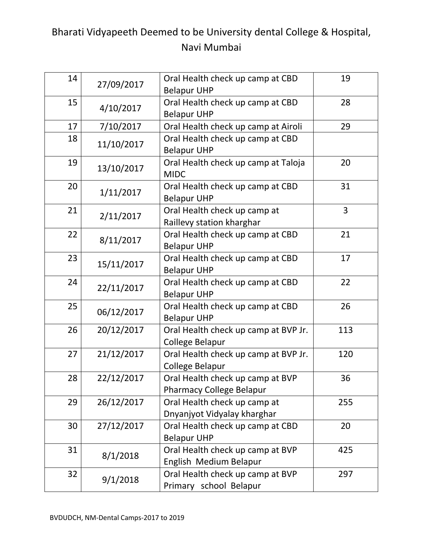| 14 | 27/09/2017 | Oral Health check up camp at CBD<br><b>Belapur UHP</b>              | 19  |
|----|------------|---------------------------------------------------------------------|-----|
| 15 | 4/10/2017  | Oral Health check up camp at CBD<br><b>Belapur UHP</b>              | 28  |
| 17 | 7/10/2017  | Oral Health check up camp at Airoli                                 | 29  |
| 18 | 11/10/2017 | Oral Health check up camp at CBD<br><b>Belapur UHP</b>              |     |
| 19 | 13/10/2017 | Oral Health check up camp at Taloja<br><b>MIDC</b>                  | 20  |
| 20 | 1/11/2017  | Oral Health check up camp at CBD<br><b>Belapur UHP</b>              | 31  |
| 21 | 2/11/2017  | Oral Health check up camp at<br>Raillevy station kharghar           | 3   |
| 22 | 8/11/2017  | Oral Health check up camp at CBD<br><b>Belapur UHP</b>              | 21  |
| 23 | 15/11/2017 | Oral Health check up camp at CBD<br><b>Belapur UHP</b>              | 17  |
| 24 | 22/11/2017 | Oral Health check up camp at CBD<br><b>Belapur UHP</b>              | 22  |
| 25 | 06/12/2017 | Oral Health check up camp at CBD<br><b>Belapur UHP</b>              | 26  |
| 26 | 20/12/2017 | Oral Health check up camp at BVP Jr.<br><b>College Belapur</b>      | 113 |
| 27 | 21/12/2017 | Oral Health check up camp at BVP Jr.<br>College Belapur             | 120 |
| 28 | 22/12/2017 | Oral Health check up camp at BVP<br><b>Pharmacy College Belapur</b> | 36  |
| 29 | 26/12/2017 | Oral Health check up camp at<br>Dnyanjyot Vidyalay kharghar         | 255 |
| 30 | 27/12/2017 | Oral Health check up camp at CBD<br><b>Belapur UHP</b>              | 20  |
| 31 | 8/1/2018   | Oral Health check up camp at BVP<br>English Medium Belapur          | 425 |
| 32 | 9/1/2018   | Oral Health check up camp at BVP<br>Primary school Belapur          | 297 |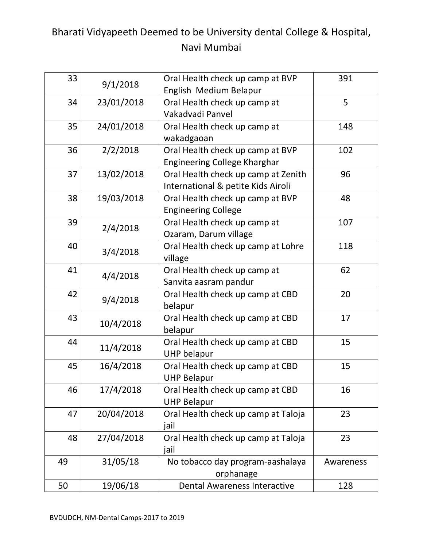| 33 | 9/1/2018   | Oral Health check up camp at BVP<br>English Medium Belapur                | 391       |
|----|------------|---------------------------------------------------------------------------|-----------|
| 34 | 23/01/2018 | Oral Health check up camp at<br>Vakadvadi Panvel                          | 5         |
| 35 | 24/01/2018 | Oral Health check up camp at<br>wakadgaoan                                | 148       |
| 36 | 2/2/2018   | Oral Health check up camp at BVP<br><b>Engineering College Kharghar</b>   | 102       |
| 37 | 13/02/2018 | Oral Health check up camp at Zenith<br>International & petite Kids Airoli | 96        |
| 38 | 19/03/2018 | Oral Health check up camp at BVP<br><b>Engineering College</b>            | 48        |
| 39 | 2/4/2018   | Oral Health check up camp at<br>Ozaram, Darum village                     | 107       |
| 40 | 3/4/2018   | Oral Health check up camp at Lohre<br>village                             | 118       |
| 41 | 4/4/2018   | Oral Health check up camp at<br>Sanvita aasram pandur                     | 62        |
| 42 | 9/4/2018   | Oral Health check up camp at CBD<br>belapur                               | 20        |
| 43 | 10/4/2018  | Oral Health check up camp at CBD<br>belapur                               | 17        |
| 44 | 11/4/2018  | Oral Health check up camp at CBD<br><b>UHP belapur</b>                    | 15        |
| 45 | 16/4/2018  | Oral Health check up camp at CBD<br><b>UHP Belapur</b>                    | 15        |
| 46 | 17/4/2018  | Oral Health check up camp at CBD<br><b>UHP Belapur</b>                    | 16        |
| 47 | 20/04/2018 | Oral Health check up camp at Taloja<br>jail                               | 23        |
| 48 | 27/04/2018 | Oral Health check up camp at Taloja<br>jail                               | 23        |
| 49 | 31/05/18   | No tobacco day program-aashalaya<br>orphanage                             | Awareness |
| 50 | 19/06/18   | <b>Dental Awareness Interactive</b>                                       | 128       |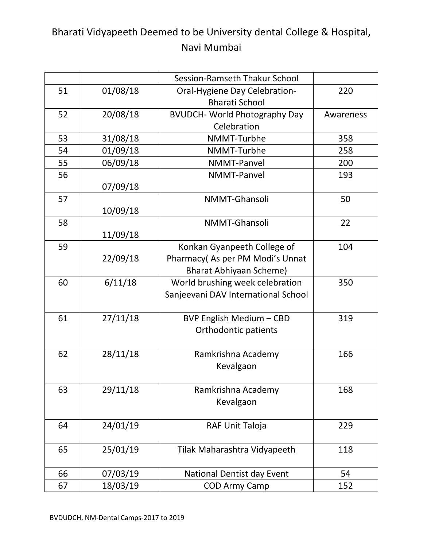|    |          | Session-Ramseth Thakur School        |           |
|----|----------|--------------------------------------|-----------|
| 51 | 01/08/18 | Oral-Hygiene Day Celebration-        | 220       |
|    |          | <b>Bharati School</b>                |           |
| 52 | 20/08/18 | <b>BVUDCH- World Photography Day</b> | Awareness |
|    |          | Celebration                          |           |
| 53 | 31/08/18 | NMMT-Turbhe                          | 358       |
| 54 | 01/09/18 | NMMT-Turbhe                          | 258       |
| 55 | 06/09/18 | NMMT-Panvel                          | 200       |
| 56 |          | <b>NMMT-Panvel</b>                   | 193       |
|    | 07/09/18 |                                      |           |
| 57 |          | NMMT-Ghansoli                        | 50        |
|    | 10/09/18 |                                      |           |
| 58 |          | NMMT-Ghansoli                        | 22        |
|    | 11/09/18 |                                      |           |
| 59 |          | Konkan Gyanpeeth College of          | 104       |
|    | 22/09/18 | Pharmacy(As per PM Modi's Unnat      |           |
|    |          | <b>Bharat Abhiyaan Scheme)</b>       |           |
| 60 | 6/11/18  | World brushing week celebration      | 350       |
|    |          | Sanjeevani DAV International School  |           |
|    |          |                                      |           |
| 61 | 27/11/18 | <b>BVP English Medium - CBD</b>      | 319       |
|    |          | Orthodontic patients                 |           |
|    |          |                                      |           |
| 62 | 28/11/18 | Ramkrishna Academy                   | 166       |
|    |          | Kevalgaon                            |           |
|    |          |                                      |           |
| 63 | 29/11/18 | Ramkrishna Academy                   | 168       |
|    |          | Kevalgaon                            |           |
| 64 | 24/01/19 |                                      | 229       |
|    |          | RAF Unit Taloja                      |           |
| 65 | 25/01/19 | Tilak Maharashtra Vidyapeeth         | 118       |
|    |          |                                      |           |
| 66 | 07/03/19 | <b>National Dentist day Event</b>    | 54        |
| 67 | 18/03/19 | <b>COD Army Camp</b>                 | 152       |